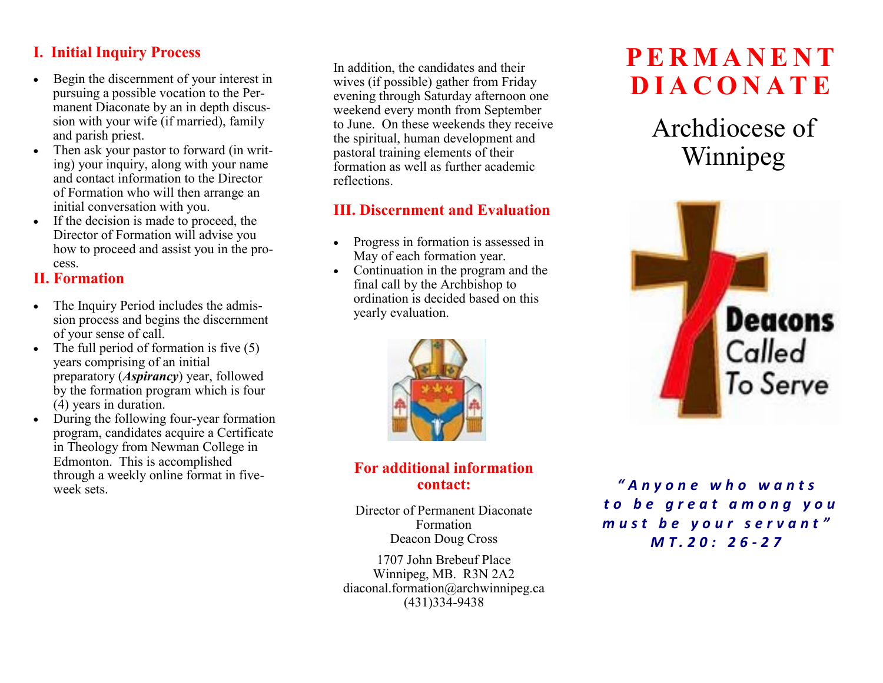# **I. Initial Inquiry Process**

- Begin the discernment of your interest in pursuing a possible vocation to the Permanent Diaconate by an in depth discussion with your wife (if married), family and parish priest.
- Then ask your pastor to forward (in writing) your inquiry, along with your name and contact information to the Director of Formation who will then arrange an initial conversation with you.
- If the decision is made to proceed, the Director of Formation will advise you how to proceed and assist you in the process.

#### **II. Formation**

- The Inquiry Period includes the admission process and begins the discernment of your sense of call.
- The full period of formation is five  $(5)$ years comprising of an initial preparatory (*Aspirancy*) year, followed by the formation program which is four (4) years in duration.
- During the following four-year formation program, candidates acquire a Certificate in Theology from Newman College in Edmonton. This is accomplished through a weekly online format in fiveweek sets.

In addition, the candidates and their wives (if possible) gather from Friday evening through Saturday afternoon one weekend every month from September to June. On these weekends they receive the spiritual, human development and pastoral training elements of their formation as well as further academic reflections.

# **III. Discernment and Evaluation**

- Progress in formation is assessed in May of each formation year.
- Continuation in the program and the final call by the Archbishop to ordination is decided based on this yearly evaluation.



#### **For additional information contact:**

Director of Permanent Diaconate Formation Deacon Doug Cross

1707 John Brebeuf Place Winnipeg, MB. R3N 2A2 diaconal.formation@archwinnipeg.ca (431)334-9438

# **P E R M A N E N T D I A C O N A T E**

Archdiocese of Winnipeg



*" A n y o n e w h o w a n t s t o b e g r e a t a m o n g y o u m u s t b e y o u r s e r v a n t " M T . 2 0 : 2 6 - 2 7*